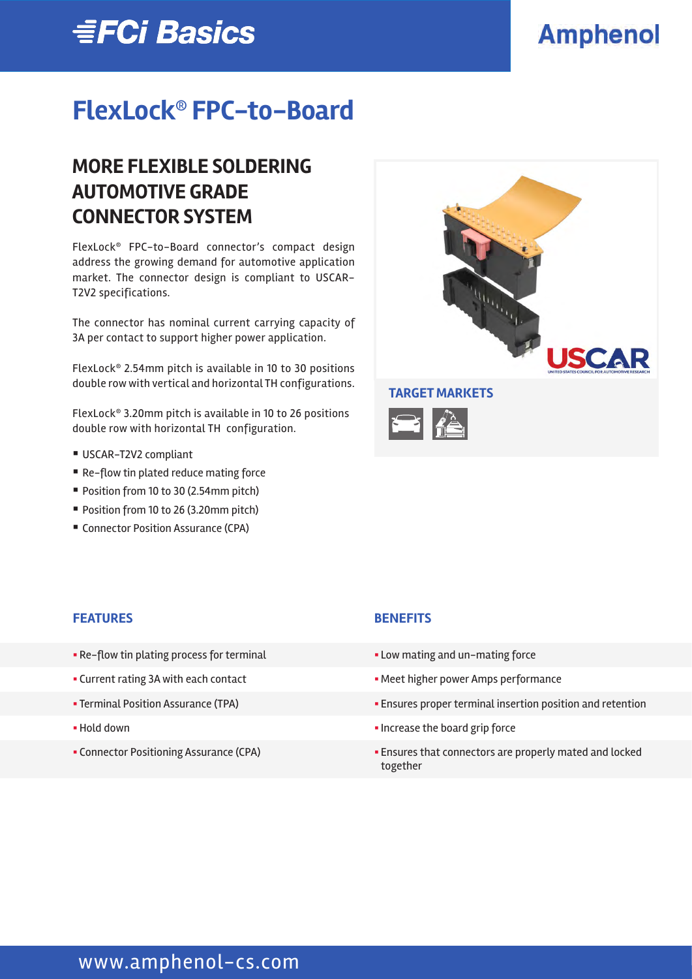# **EFCi Basics**

# **Amphenol**

# **FlexLock® FPC-to-Board**

## **MORE FLEXIBLE SOLDERING AUTOMOTIVE GRADE CONNECTOR SYSTEM**

FlexLock® FPC-to-Board connector's compact design address the growing demand for automotive application market. The connector design is compliant to USCAR-T2V2 specifications.

The connector has nominal current carrying capacity of 3A per contact to support higher power application.

FlexLock® 2.54mm pitch is available in 10 to 30 positions double row with vertical and horizontal TH configurations.

FlexLock® 3.20mm pitch is available in 10 to 26 positions double row with horizontal TH configuration.

- USCAR-T2V2 compliant
- Re-flow tin plated reduce mating force
- Position from 10 to 30 (2.54mm pitch)
- Position from 10 to 26 (3.20mm pitch)
- Connector Position Assurance (CPA)



#### **FEATURES BENEFITS**

- Re-flow tin plating process for terminal **Example 2018** Low mating and un-mating force
- 
- 
- 
- 

- 
- Current rating 3A with each contact **Exercise 2** Meet higher power Amps performance
- Terminal Position Assurance (TPA)  **Ensures proper terminal insertion position and retention**
- Hold down  **Increase the board grip force**
- Connector Positioning Assurance (CPA) **•** Ensures that connectors are properly mated and locked together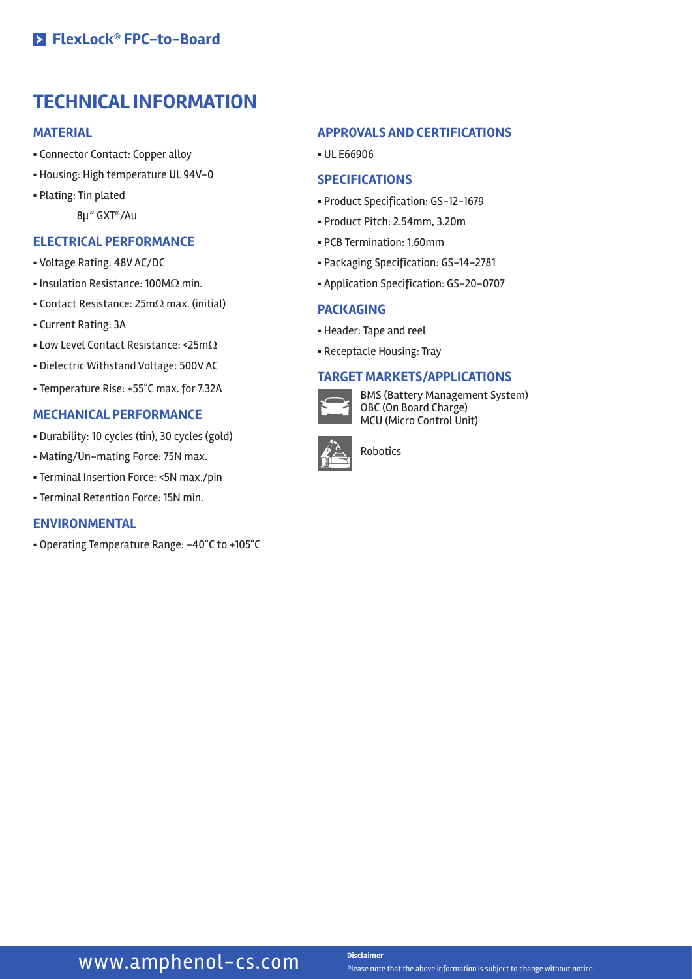### **TECHNICAL INFORMATION**

#### **MATERIAL**

- § Connector Contact: Copper alloy
- § Housing: High temperature UL 94V-0
- § Plating: Tin plated

8µ" GXT®/Au

### **ELECTRICAL PERFORMANCE**

- § Voltage Rating: 48V AC/DC
- Insulation Resistance: 100MΩ min.
- Contact Resistance:  $25m\Omega$  max. (initial)
- § Current Rating: 3A
- Low Level Contact Resistance: <25mΩ
- § Dielectric Withstand Voltage: 500V AC
- § Temperature Rise: +55°C max. for 7.32A

#### **MECHANICAL PERFORMANCE**

- § Durability: 10 cycles (tin), 30 cycles (gold)
- § Mating/Un-mating Force: 75N max.
- § Terminal Insertion Force: <5N max./pin
- § Terminal Retention Force: 15N min.

#### **ENVIRONMENTAL**

§ Operating Temperature Range: -40°C to +105°C

#### **APPROVALS AND CERTIFICATIONS**

§ UL E66906

#### **SPECIFICATIONS**

- § Product Specification: GS-12-1679
- § Product Pitch: 2.54mm, 3.20m
- § PCB Termination: 1.60mm
- § Packaging Specification: GS-14-2781
- § Application Specification: GS-20-0707

#### **PACKAGING**

- § Header: Tape and reel
- § Receptacle Housing: Tray

### **TARGET MARKETS/APPLICATIONS**



BMS (Battery Management System) OBC (On Board Charge) MCU (Micro Control Unit)



Robotics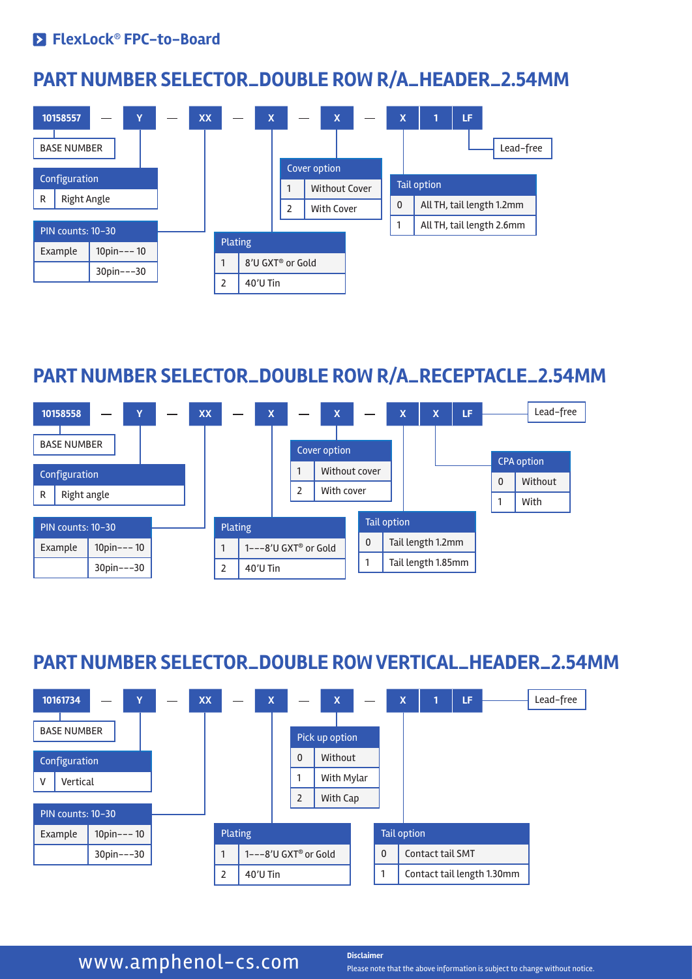### **PART NUMBER SELECTOR\_DOUBLE ROW R/A\_HEADER\_2.54MM**



### **PART NUMBER SELECTOR\_DOUBLE ROW R/A\_RECEPTACLE\_2.54MM**



### **PART NUMBER SELECTOR\_DOUBLE ROW VERTICAL\_HEADER\_2.54MM**



### **WWW.amphenol-cs.com** Disclaimer

Please note that the above information is subject to change without notice.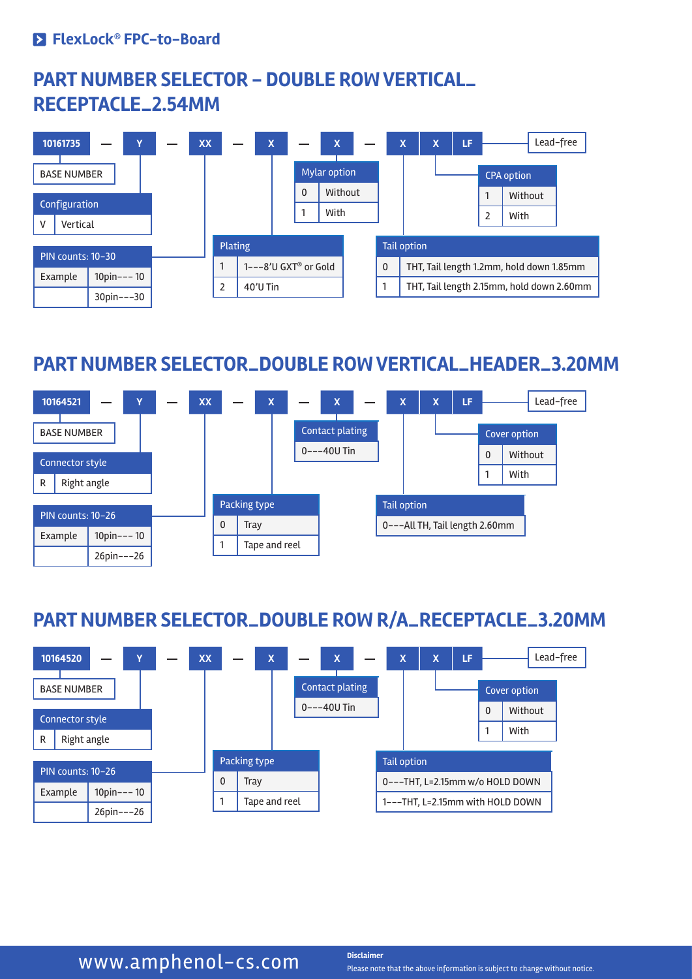### **PART NUMBER SELECTOR - DOUBLE ROW VERTICAL\_ RECEPTACLE\_2.54MM**



### **PART NUMBER SELECTOR\_DOUBLE ROW VERTICAL\_HEADER\_3.20MM**



## **PART NUMBER SELECTOR\_DOUBLE ROW R/A\_RECEPTACLE\_3.20MM**